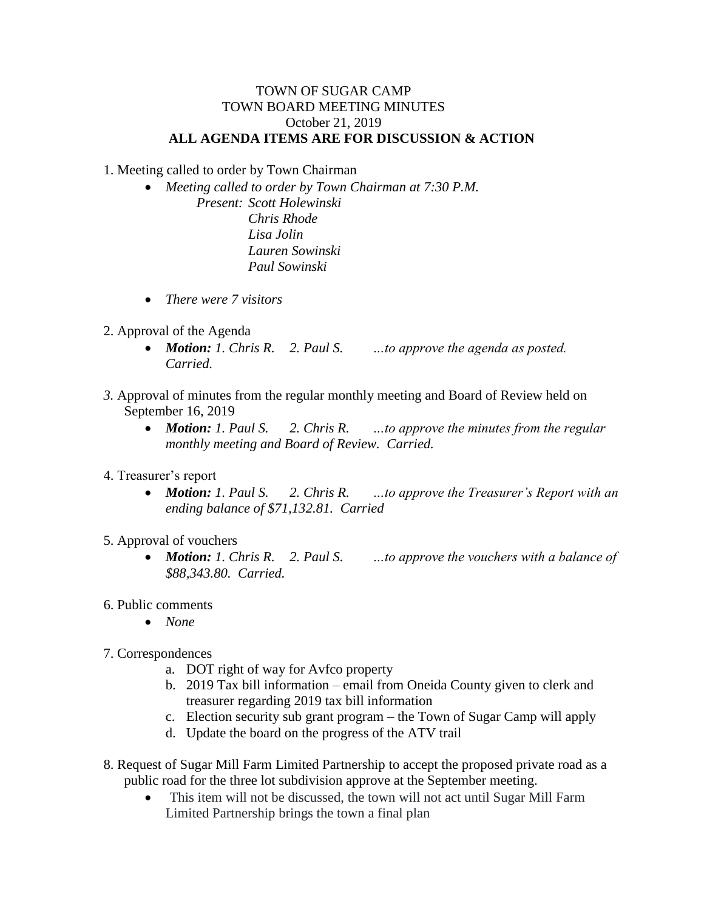## TOWN OF SUGAR CAMP TOWN BOARD MEETING MINUTES October 21, 2019 **ALL AGENDA ITEMS ARE FOR DISCUSSION & ACTION**

1. Meeting called to order by Town Chairman

- *Meeting called to order by Town Chairman at 7:30 P.M. Present: Scott Holewinski Chris Rhode Lisa Jolin Lauren Sowinski Paul Sowinski*
- *There were 7 visitors*
- 2. Approval of the Agenda
	- *Motion: 1. Chris R. 2. Paul S. …to approve the agenda as posted. Carried.*
- *3.* Approval of minutes from the regular monthly meeting and Board of Review held on September 16, 2019
	- *Motion: 1. Paul S. 2. Chris R. …to approve the minutes from the regular monthly meeting and Board of Review. Carried.*
- 4. Treasurer's report
	- *Motion: 1. Paul S. 2. Chris R. …to approve the Treasurer's Report with an ending balance of \$71,132.81. Carried*
- 5. Approval of vouchers
	- *Motion: 1. Chris R. 2. Paul S. …to approve the vouchers with a balance of \$88,343.80. Carried.*
- 6. Public comments
	- *None*
- 7. Correspondences
	- a. DOT right of way for Avfco property
	- b. 2019 Tax bill information email from Oneida County given to clerk and treasurer regarding 2019 tax bill information
	- c. Election security sub grant program the Town of Sugar Camp will apply
	- d. Update the board on the progress of the ATV trail
- 8. Request of Sugar Mill Farm Limited Partnership to accept the proposed private road as a public road for the three lot subdivision approve at the September meeting.
	- This item will not be discussed, the town will not act until Sugar Mill Farm Limited Partnership brings the town a final plan